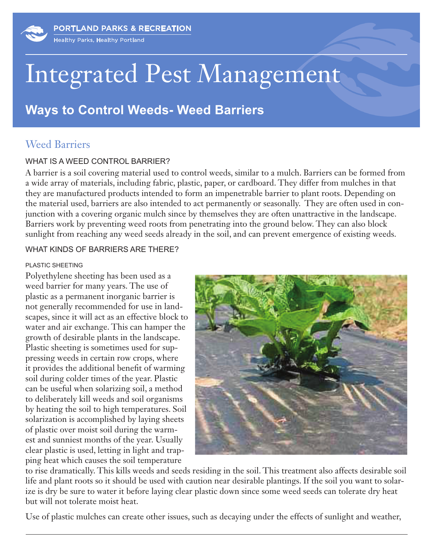

# Integrated Pest Management

## **Ways to Control Weeds- Weed Barriers**

### Weed Barriers

#### WHAT IS A WEED CONTROL BARRIER?

A barrier is a soil covering material used to control weeds, similar to a mulch. Barriers can be formed from a wide array of materials, including fabric, plastic, paper, or cardboard. They differ from mulches in that they are manufactured products intended to form an impenetrable barrier to plant roots. Depending on the material used, barriers are also intended to act permanently or seasonally. They are often used in conjunction with a covering organic mulch since by themselves they are often unattractive in the landscape. Barriers work by preventing weed roots from penetrating into the ground below. They can also block sunlight from reaching any weed seeds already in the soil, and can prevent emergence of existing weeds.

#### WHAT KINDS OF BARRIERS ARE THERE?

#### PLASTIC SHEETING

Polyethylene sheeting has been used as a weed barrier for many years. The use of plastic as a permanent inorganic barrier is not generally recommended for use in landscapes, since it will act as an effective block to water and air exchange. This can hamper the growth of desirable plants in the landscape. Plastic sheeting is sometimes used for suppressing weeds in certain row crops, where it provides the additional benefit of warming soil during colder times of the year. Plastic can be useful when solarizing soil, a method to deliberately kill weeds and soil organisms by heating the soil to high temperatures. Soil solarization is accomplished by laying sheets of plastic over moist soil during the warmest and sunniest months of the year. Usually clear plastic is used, letting in light and trapping heat which causes the soil temperature



to rise dramatically. This kills weeds and seeds residing in the soil. This treatment also affects desirable soil life and plant roots so it should be used with caution near desirable plantings. If the soil you want to solarize is dry be sure to water it before laying clear plastic down since some weed seeds can tolerate dry heat but will not tolerate moist heat.

Use of plastic mulches can create other issues, such as decaying under the effects of sunlight and weather,